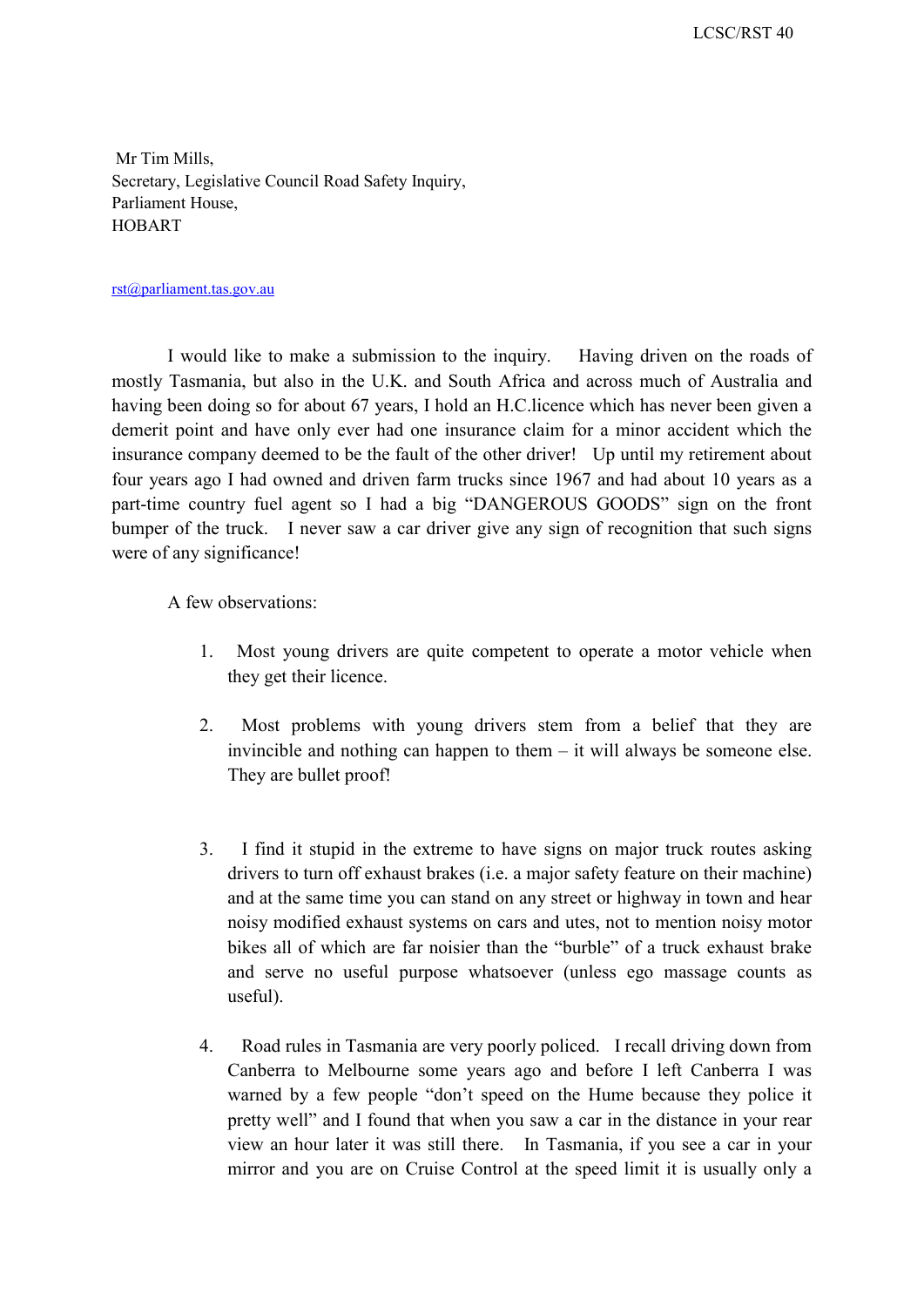Mr Tim Mills, Secretary, Legislative Council Road Safety Inquiry, Parliament House, HOBART

## rst@parliament.tas.gov.au

 demerit point and have only ever had one insurance claim for a minor accident which the four years ago I had owned and driven farm trucks since 1967 and had about 10 years as a bumper of the truck. I never saw a car driver give any sign of recognition that such signs I would like to make a submission to the inquiry. Having driven on the roads of mostly Tasmania, but also in the U.K. and South Africa and across much of Australia and having been doing so for about 67 years, I hold an H.C.licence which has never been given a insurance company deemed to be the fault of the other driver! Up until my retirement about part-time country fuel agent so I had a big "DANGEROUS GOODS" sign on the front were of any significance!

A few observations:

- 1. Most young drivers are quite competent to operate a motor vehicle when they get their licence.
- 2. Most problems with young drivers stem from a belief that they are invincible and nothing can happen to them – it will always be someone else. They are bullet proof!
- 3. I find it stupid in the extreme to have signs on major truck routes asking drivers to turn off exhaust brakes (i.e. a major safety feature on their machine) and at the same time you can stand on any street or highway in town and hear noisy modified exhaust systems on cars and utes, not to mention noisy motor bikes all of which are far noisier than the "burble" of a truck exhaust brake and serve no useful purpose whatsoever (unless ego massage counts as useful).
- 4. Road rules in Tasmania are very poorly policed. I recall driving down from Canberra to Melbourne some years ago and before I left Canberra I was view an hour later it was still there. In Tasmania, if you see a car in your warned by a few people "don't speed on the Hume because they police it pretty well" and I found that when you saw a car in the distance in your rear mirror and you are on Cruise Control at the speed limit it is usually only a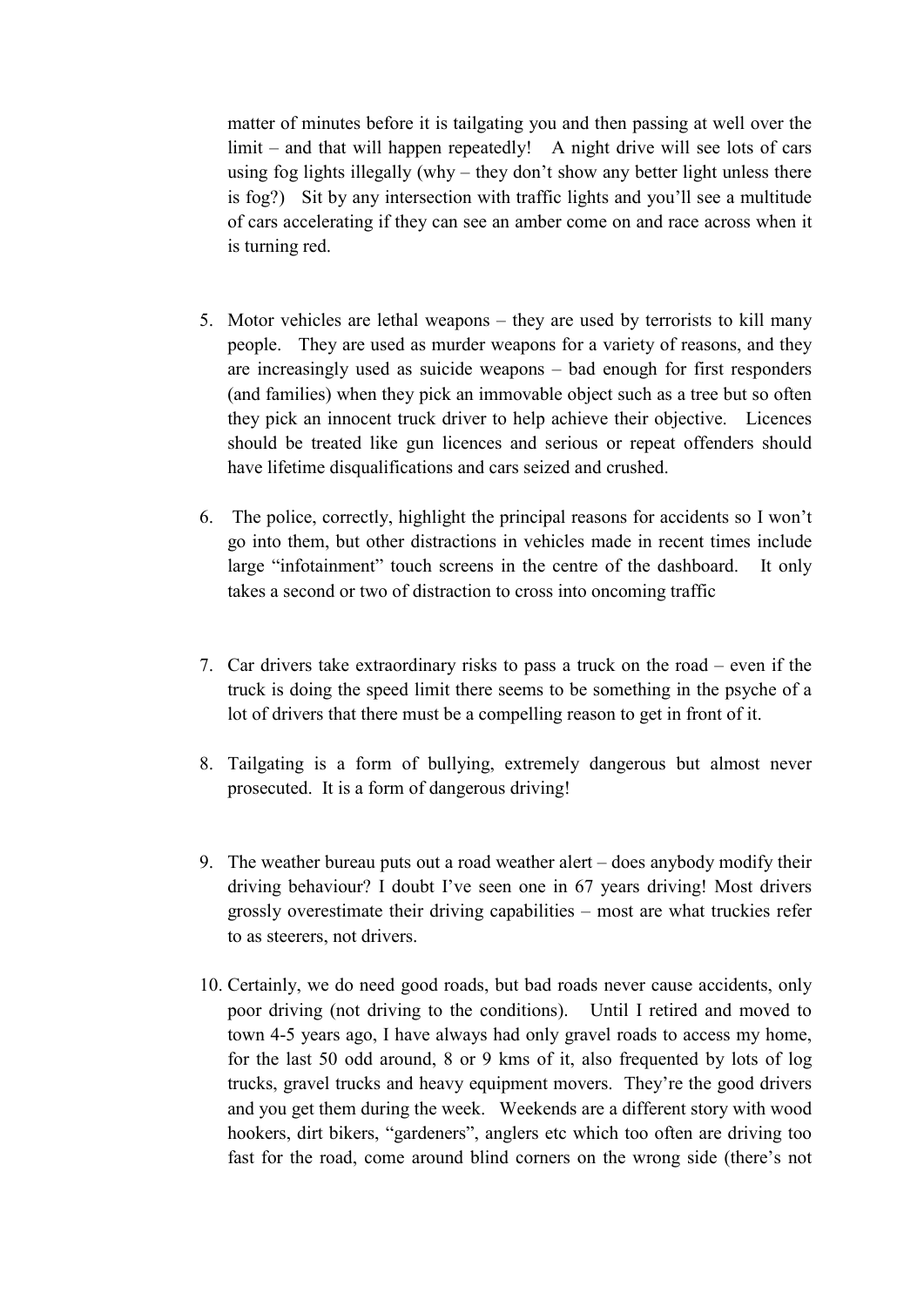matter of minutes before it is tailgating you and then passing at well over the using fog lights illegally (why – they don't show any better light unless there is fog?) Sit by any intersection with traffic lights and you'll see a multitude of cars accelerating if they can see an amber come on and race across when it limit – and that will happen repeatedly! A night drive will see lots of cars is turning red.

- 5. Motor vehicles are lethal weapons they are used by terrorists to kill many people. They are used as murder weapons for a variety of reasons, and they are increasingly used as suicide weapons – bad enough for first responders (and families) when they pick an immovable object such as a tree but so often they pick an innocent truck driver to help achieve their objective. Licences should be treated like gun licences and serious or repeat offenders should have lifetime disqualifications and cars seized and crushed.
- large "infotainment" touch screens in the centre of the dashboard. It only 6. The police, correctly, highlight the principal reasons for accidents so I won't go into them, but other distractions in vehicles made in recent times include takes a second or two of distraction to cross into oncoming traffic
- 7. Car drivers take extraordinary risks to pass a truck on the road even if the truck is doing the speed limit there seems to be something in the psyche of a lot of drivers that there must be a compelling reason to get in front of it.
- prosecuted. It is a form of dangerous driving! 8. Tailgating is a form of bullying, extremely dangerous but almost never
- grossly overestimate their driving capabilities most are what truckies refer 9. The weather bureau puts out a road weather alert – does anybody modify their driving behaviour? I doubt I've seen one in 67 years driving! Most drivers to as steerers, not drivers.
- fast for the road, come around blind corners on the wrong side (there's not 10. Certainly, we do need good roads, but bad roads never cause accidents, only poor driving (not driving to the conditions). Until I retired and moved to town 4-5 years ago, I have always had only gravel roads to access my home, for the last 50 odd around, 8 or 9 kms of it, also frequented by lots of log trucks, gravel trucks and heavy equipment movers. They're the good drivers and you get them during the week. Weekends are a different story with wood hookers, dirt bikers, "gardeners", anglers etc which too often are driving too